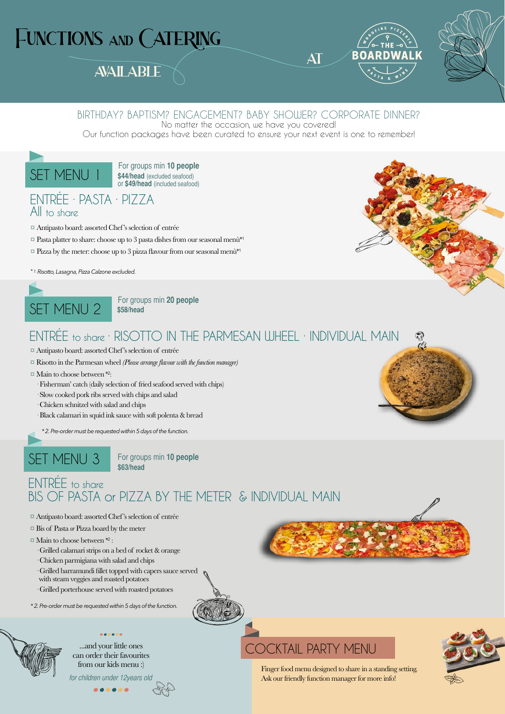# FUNCTIONS AND CATERING

## **AVAILABLE**



AT



## BIRTHDAY? BAPTISM? ENGAGEMENT? BABY SHOWER? CORPORATE DINNER?

No matter the occasion, we have you covered!

Our function packages have been curated to ensure your next event is one to remember!



**\$44/head** (excluded seafood) or **\$49/head** (included seafood)

## ENTRÉE · PASTA · PIZZA All to share

- ¤ Antipasto board: assorted Chef's selection of entrée
- $\heartsuit$  Pasta platter to share: choose up to 3 pasta dishes from our seasonal menù\*1
- $\Box$  Pizza by the meter: choose up to 3 pizza flavour from our seasonal menù\*1
- *\* 1. Risotto, Lasagna, Pizza Calzone excluded.*



**\$58/head**

## ENTRÉE to share · RISOTTO IN THE PARMESAN WHEEL · INDIVIDUAL MAIN

- ¤Antipasto board: assorted Chef's selection of entrée
- ¤ Risotto in the Parmesan wheel *(Please arrange flavour with the function manager)*
- ¤ Main to choose between \*2:
	- · Fisherman' catch (daily selection of fried seafood served with chips)
	- · Slow cooked pork ribs served with chips and salad
	- · Chicken schnitzel with salad and chips
	- · Black calamari in squid ink sauce with soft polenta & bread

*\* 2. Pre-order must be requested within 5 days of the function.*

SET MENU 3 For groups min 10 people **\$63/head**

## ENTRÉE to share BIS OF PASTA or PIZZA BY THE METER & INDIVIDUAL MAIN

- ¤ Antipasto board: assorted Chef's selection of entrée
- ¤ Bis of Pasta *or* Pizza board by the meter
- ¤ Main to choose between \*2 :
	- · Grilled calamari strips on a bed of rocket & orange
	- · Chicken parmigiana with salad and chips
	- · Grilled barramundi fillet topped with capers sauce served
	- with steam veggies and roasted potatoes
	- · Grilled porterhouse served with roasted potatoes

*\* 2. Pre-order must be requested within 5 days of the function.*

...and your little ones can order their favourites from our kids menu :) for children under 12years old





Finger food menu designed to share in a standing setting. Ask our friendly function manager for more info!